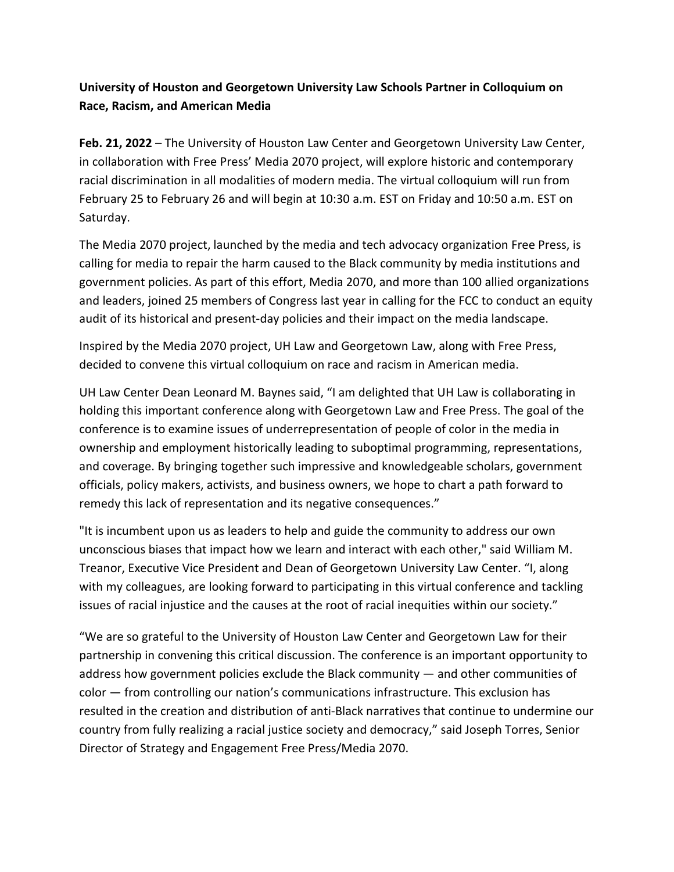## **University of Houston and Georgetown University Law Schools Partner in Colloquium on Race, Racism, and American Media**

**Feb. 21, 2022** – The University of Houston Law Center and Georgetown University Law Center, in collaboration with Free Press' Media 2070 project, will explore historic and contemporary racial discrimination in all modalities of modern media. The virtual colloquium will run from February 25 to February 26 and will begin at 10:30 a.m. EST on Friday and 10:50 a.m. EST on Saturday.

The Media 2070 project, launched by the media and tech advocacy organization Free Press, is calling for media to repair the harm caused to the Black community by media institutions and government policies. As part of this effort, Media 2070, and more than 100 allied organizations and leaders, joined 25 members of Congress last year in calling for the FCC to conduct an equity audit of its historical and present-day policies and their impact on the media landscape.

Inspired by the Media 2070 project, UH Law and Georgetown Law, along with Free Press, decided to convene this virtual colloquium on race and racism in American media.

UH Law Center Dean Leonard M. Baynes said, "I am delighted that UH Law is collaborating in holding this important conference along with Georgetown Law and Free Press. The goal of the conference is to examine issues of underrepresentation of people of color in the media in ownership and employment historically leading to suboptimal programming, representations, and coverage. By bringing together such impressive and knowledgeable scholars, government officials, policy makers, activists, and business owners, we hope to chart a path forward to remedy this lack of representation and its negative consequences."

"It is incumbent upon us as leaders to help and guide the community to address our own unconscious biases that impact how we learn and interact with each other," said William M. Treanor, Executive Vice President and Dean of Georgetown University Law Center. "I, along with my colleagues, are looking forward to participating in this virtual conference and tackling issues of racial injustice and the causes at the root of racial inequities within our society."

"We are so grateful to the University of Houston Law Center and Georgetown Law for their partnership in convening this critical discussion. The conference is an important opportunity to address how government policies exclude the Black community — and other communities of color — from controlling our nation's communications infrastructure. This exclusion has resulted in the creation and distribution of anti-Black narratives that continue to undermine our country from fully realizing a racial justice society and democracy," said Joseph Torres, Senior Director of Strategy and Engagement Free Press/Media 2070.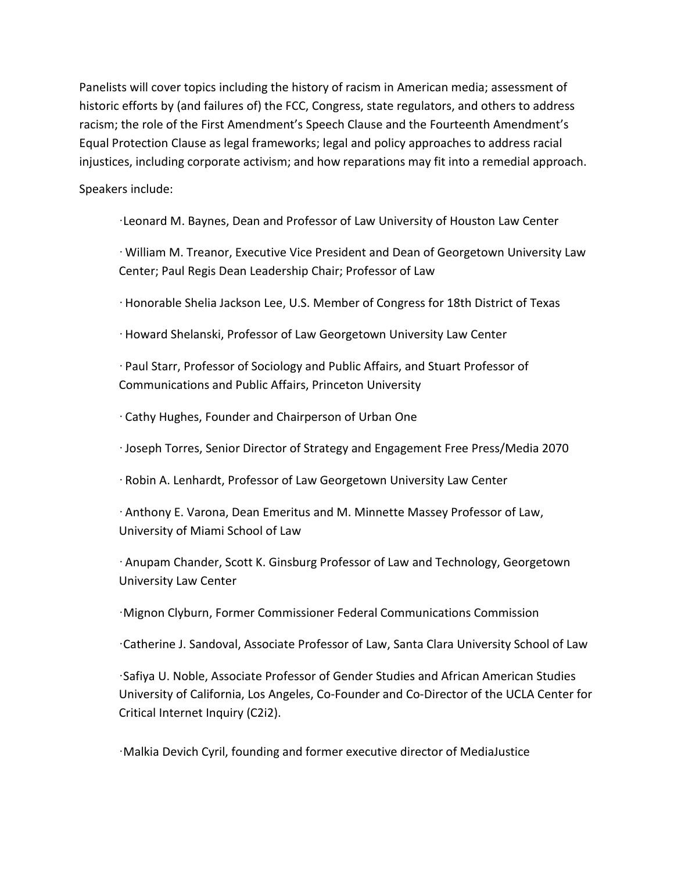Panelists will cover topics including the history of racism in American media; assessment of historic efforts by (and failures of) the FCC, Congress, state regulators, and others to address racism; the role of the First Amendment's Speech Clause and the Fourteenth Amendment's Equal Protection Clause as legal frameworks; legal and policy approaches to address racial injustices, including corporate activism; and how reparations may fit into a remedial approach.

Speakers include:

·Leonard M. Baynes, Dean and Professor of Law University of Houston Law Center

·William M. Treanor, Executive Vice President and Dean of Georgetown University Law Center; Paul Regis Dean Leadership Chair; Professor of Law

·Honorable Shelia Jackson Lee, U.S. Member of Congress for 18th District of Texas

·Howard Shelanski, Professor of Law Georgetown University Law Center

· Paul Starr, Professor of Sociology and Public Affairs, and Stuart Professor of Communications and Public Affairs, Princeton University

· Cathy Hughes, Founder and Chairperson of Urban One

·Joseph Torres, Senior Director of Strategy and Engagement Free Press/Media 2070

· Robin A. Lenhardt, Professor of Law Georgetown University Law Center

· Anthony E. Varona, Dean Emeritus and M. Minnette Massey Professor of Law, University of Miami School of Law

· Anupam Chander, Scott K. Ginsburg Professor of Law and Technology, Georgetown University Law Center

·Mignon Clyburn, Former Commissioner Federal Communications Commission

·Catherine J. Sandoval, Associate Professor of Law, Santa Clara University School of Law

·Safiya U. Noble, Associate Professor of Gender Studies and African American Studies [University of California, Los Angeles,](https://www.ucla.edu/) Co-Founder and Co-Director of the [UCLA Center for](https://www.c2i2.ucla.edu/)  [Critical Internet Inquiry \(C2i2\).](https://www.c2i2.ucla.edu/)

·Malkia Devich Cyril, founding and former executive director of MediaJustice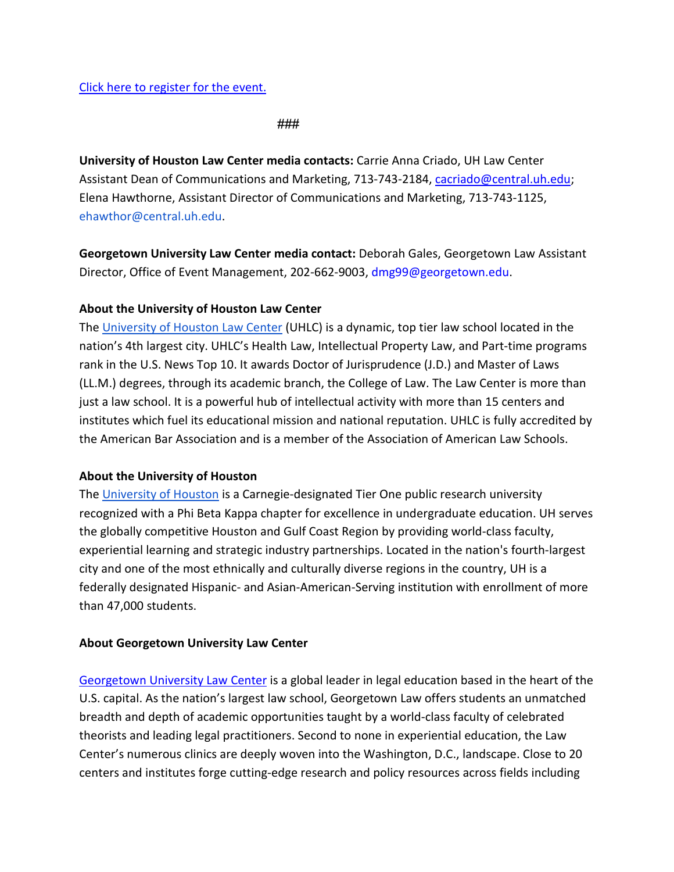###

**University of Houston Law Center media contacts:** Carrie Anna Criado, UH Law Center Assistant Dean of Communications and Marketing, 713-743-2184, [cacriado@central.uh.edu;](mailto:cacriado@central.uh.edu) Elena Hawthorne, Assistant Director of Communications and Marketing, 713-743-1125, ehawthor@central.uh.edu.

**Georgetown University Law Center media contact:** Deborah Gales, Georgetown Law Assistant Director, Office of Event Management, 202-662-9003, dmg99@georgetown.edu.

## **About the University of Houston Law Center**

Th[e](https://law.uh.edu/) [University of Houston Law Center](https://law.uh.edu/) (UHLC) is a dynamic, top tier law school located in the nation's 4th largest city. UHLC's Health Law, Intellectual Property Law, and Part-time programs rank in the U.S. News Top 10. It awards Doctor of Jurisprudence (J.D.) and Master of Laws (LL.M.) degrees, through its academic branch, the College of Law. The Law Center is more than just a law school. It is a powerful hub of intellectual activity with more than 15 centers and institutes which fuel its educational mission and national reputation. UHLC is fully accredited by the American Bar Association and is a member of the Association of American Law Schools.

## **About the University of Houston**

Th[e](https://uh.edu/) [University of Houston](https://uh.edu/) is a Carnegie-designated Tier One public research university recognized with a Phi Beta Kappa chapter for excellence in undergraduate education. UH serves the globally competitive Houston and Gulf Coast Region by providing world-class faculty, experiential learning and strategic industry partnerships. Located in the nation's fourth-largest city and one of the most ethnically and culturally diverse regions in the country, UH is a federally designated Hispanic- and Asian-American-Serving institution with enrollment of more than 47,000 students.

## **About Georgetown University Law Center**

[Georgetown University Law Center](https://www.law.georgetown.edu/) is a global leader in legal education based in the heart of the U.S. capital. As the nation's largest law school, Georgetown Law offers students an unmatched breadth and depth of academic opportunities taught by a world-class faculty of celebrated theorists and leading legal practitioners. Second to none in experiential education, the Law Center's numerous clinics are deeply woven into the Washington, D.C., landscape. Close to 20 centers and institutes forge cutting-edge research and policy resources across fields including